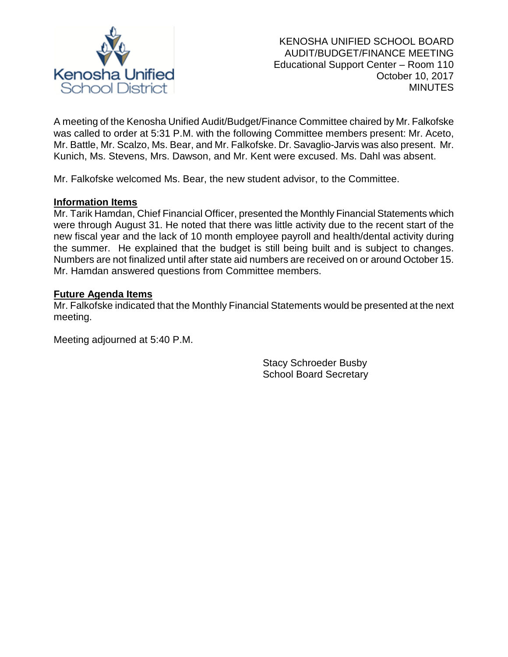

A meeting of the Kenosha Unified Audit/Budget/Finance Committee chaired by Mr. Falkofske was called to order at 5:31 P.M. with the following Committee members present: Mr. Aceto, Mr. Battle, Mr. Scalzo, Ms. Bear, and Mr. Falkofske. Dr. Savaglio-Jarvis was also present. Mr. Kunich, Ms. Stevens, Mrs. Dawson, and Mr. Kent were excused. Ms. Dahl was absent.

Mr. Falkofske welcomed Ms. Bear, the new student advisor, to the Committee.

## **Information Items**

Mr. Tarik Hamdan, Chief Financial Officer, presented the Monthly Financial Statements which were through August 31. He noted that there was little activity due to the recent start of the new fiscal year and the lack of 10 month employee payroll and health/dental activity during the summer. He explained that the budget is still being built and is subject to changes. Numbers are not finalized until after state aid numbers are received on or around October 15. Mr. Hamdan answered questions from Committee members.

#### **Future Agenda Items**

Mr. Falkofske indicated that the Monthly Financial Statements would be presented at the next meeting.

Meeting adjourned at 5:40 P.M.

Stacy Schroeder Busby School Board Secretary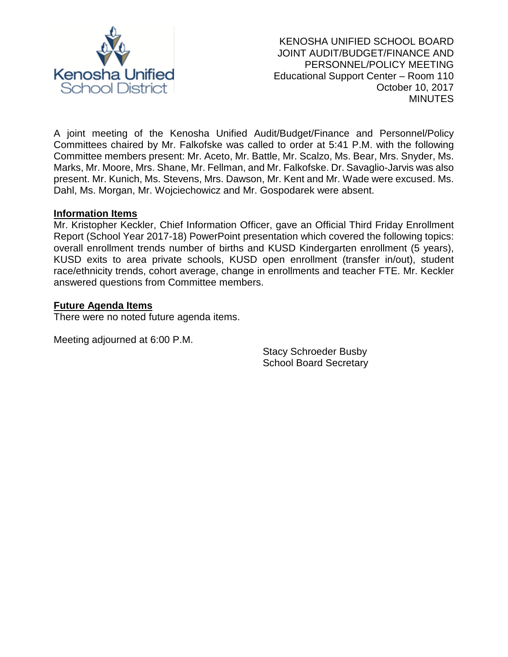

A joint meeting of the Kenosha Unified Audit/Budget/Finance and Personnel/Policy Committees chaired by Mr. Falkofske was called to order at 5:41 P.M. with the following Committee members present: Mr. Aceto, Mr. Battle, Mr. Scalzo, Ms. Bear, Mrs. Snyder, Ms. Marks, Mr. Moore, Mrs. Shane, Mr. Fellman, and Mr. Falkofske. Dr. Savaglio-Jarvis was also present. Mr. Kunich, Ms. Stevens, Mrs. Dawson, Mr. Kent and Mr. Wade were excused. Ms. Dahl, Ms. Morgan, Mr. Wojciechowicz and Mr. Gospodarek were absent.

#### **Information Items**

Mr. Kristopher Keckler, Chief Information Officer, gave an Official Third Friday Enrollment Report (School Year 2017-18) PowerPoint presentation which covered the following topics: overall enrollment trends number of births and KUSD Kindergarten enrollment (5 years), KUSD exits to area private schools, KUSD open enrollment (transfer in/out), student race/ethnicity trends, cohort average, change in enrollments and teacher FTE. Mr. Keckler answered questions from Committee members.

## **Future Agenda Items**

There were no noted future agenda items.

Meeting adjourned at 6:00 P.M.

Stacy Schroeder Busby School Board Secretary